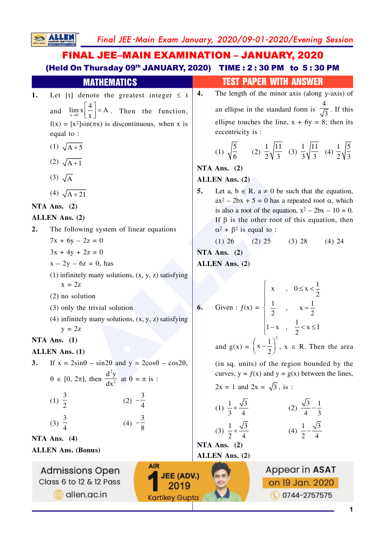Final JEE-Main Exam January, 2020/09-01-2020/Evening Session

# **FINAL JEE-MAIN EXAMINATION - JANUARY, 2020** (Held On Thursday 09th JANUARY, 2020) TIME: 2:30 PM to 5:30 PM

**SALLEN** 

| <b>MATHEMATICS</b>                                                                                                                   | <b>TEST PAPER WITH ANSWER</b>                                                                                                          |
|--------------------------------------------------------------------------------------------------------------------------------------|----------------------------------------------------------------------------------------------------------------------------------------|
| Let [t] denote the greatest integer $\leq t$<br>1.                                                                                   | The length of the minor axis (along y-axis) of<br>4.                                                                                   |
| $\lim_{x\to 0} x \left  \frac{4}{x} \right  = A$ . Then the function,<br>and                                                         | an ellipse in the standard form is $\frac{4}{\sqrt{3}}$ . If this                                                                      |
| $f(x) = [x^2]sin(\pi x)$ is discontinuous, when x is                                                                                 | ellipse touches the line, $x + 6y = 8$ ; then its                                                                                      |
| equal to :                                                                                                                           | eccentricity is :                                                                                                                      |
| (1) $\sqrt{A+5}$                                                                                                                     | (1) $\sqrt{\frac{5}{6}}$ (2) $\frac{1}{2}\sqrt{\frac{11}{3}}$ (3) $\frac{1}{3}\sqrt{\frac{11}{3}}$ (4) $\frac{1}{2}\sqrt{\frac{5}{3}}$ |
| (2) $\sqrt{A+1}$                                                                                                                     | NTA Ans. $(2)$                                                                                                                         |
| $(3)$ $\sqrt{A}$                                                                                                                     | <b>ALLEN Ans. (2)</b>                                                                                                                  |
| (4) $\sqrt{A+21}$                                                                                                                    | Let a, $b \in R$ , $a \neq 0$ be such that the equation,<br>5.<br>$ax^2 - 2bx + 5 = 0$ has a repeated root $\alpha$ , which            |
| NTA Ans. $(2)$                                                                                                                       | is also a root of the equation, $x^2 - 2bx - 10 = 0$ .                                                                                 |
| ALLEN Ans. (2)                                                                                                                       | If $\beta$ is the other root of this equation, then                                                                                    |
| The following system of linear equations<br>2.                                                                                       | $\alpha^2$ + $\beta^2$ is equal to :                                                                                                   |
| $7x + 6y - 2z = 0$                                                                                                                   | (1) 26 (2) 25 (3) 28<br>$(4)$ 24                                                                                                       |
| $3x + 4y + 2z = 0$                                                                                                                   | NTA Ans. $(2)$                                                                                                                         |
| $x - 2y - 6z = 0$ , has                                                                                                              | <b>ALLEN Ans.</b> (2)                                                                                                                  |
| $(1)$ infinitely many solutions, $(x, y, z)$ satisfying<br>$x = 2z$                                                                  | $\begin{cases} x, & 0 \leq x < \frac{1}{2} \end{cases}$                                                                                |
| $(2)$ no solution                                                                                                                    |                                                                                                                                        |
| (3) only the trivial solution                                                                                                        | Given : $f(x) = \begin{cases} \frac{1}{2} & x = \frac{1}{2} \end{cases}$<br>6.                                                         |
| $(4)$ infinitely many solutions, $(x, y, z)$ satisfying<br>$y = 2z$                                                                  | $1-x$ , $\frac{1}{2} < x \le 1$                                                                                                        |
| NTA Ans. $(1)$                                                                                                                       |                                                                                                                                        |
| <b>ALLEN</b> Ans. (1)                                                                                                                | and $g(x) = \left(x - \frac{1}{2}\right)^2$ , $x \in R$ . Then the area                                                                |
| If $x = 2\sin\theta - \sin2\theta$ and $y = 2\cos\theta - \cos2\theta$ ,<br>3.                                                       | (in sq. units) of the region bounded by the                                                                                            |
| $\theta \in [0, 2\pi]$ , then $\frac{d^2y}{dx^2}$ at $\theta = \pi$ is :                                                             | curves, $y = f(x)$ and $y = g(x)$ between the lines,                                                                                   |
|                                                                                                                                      | $2x = 1$ and $2x = \sqrt{3}$ , is:                                                                                                     |
| (1) $\frac{3}{2}$<br>(2) $-\frac{3}{4}$                                                                                              |                                                                                                                                        |
|                                                                                                                                      | (2) $\frac{\sqrt{3}}{4} - \frac{1}{3}$<br>(1) $\frac{1}{3} + \frac{\sqrt{3}}{4}$                                                       |
| (3) $\frac{3}{4}$<br>(4) $-\frac{3}{8}$                                                                                              | (3) $\frac{1}{2} + \frac{\sqrt{3}}{4}$<br>(4) $\frac{1}{2} - \frac{\sqrt{3}}{4}$                                                       |
| NTA Ans. $(4)$                                                                                                                       | NTA Ans. (2)                                                                                                                           |
| <b>ALLEN Ans. (Bonus)</b>                                                                                                            | ALLEN Ans. (2)                                                                                                                         |
| <b>AIR</b><br><b>Admissions Open</b><br><b>JEE (ADV.)</b><br>Class 6 to 12 & 12 Pass<br>2019<br>allen.ac.in<br><b>Kartikey Gupta</b> | Appear in ASAT<br>on 19 Jan. 2020<br>0744-2757575                                                                                      |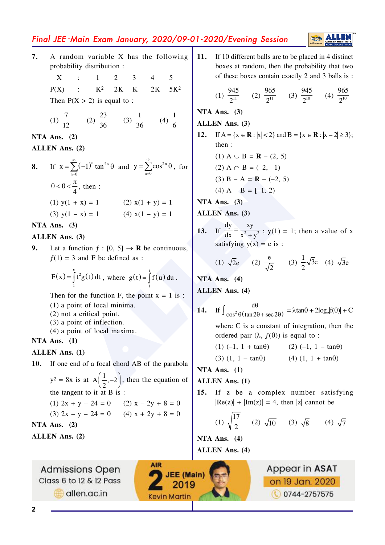# Final JEE-Main Exam January, 2020/09-01-2020/Evening Session

**ALLE** 

- A random variable X has the following 7. probability distribution :
	- $\mathbf{X}$  $\mathbb{R}^{\mathbb{Z}}$  $\mathbf{1}$  $\mathcal{D}$  $\mathbf{3}$ 5  $K^2$  $2K$  $\mathbf K$  $2K$  $5K<sup>2</sup>$  $P(X)$  $\mathbf{r}$ Then  $P(X > 2)$  is equal to :

(1) 
$$
\frac{7}{12}
$$
 (2)  $\frac{23}{36}$  (3)  $\frac{1}{36}$  (4)  $\frac{1}{6}$ 

NTA Ans.  $(2)$ 

#### ALLEN Ans. (2)

If  $x = \sum_{n=0}^{\infty} (-1)^n \tan^{2n} \theta$  and  $y = \sum_{n=0}^{\infty} \cos^{2n} \theta$ , for 8.  $0 < \theta < \frac{\pi}{4}$ , then :  $(1)$  y(1 + x) = 1  $(2)$   $x(1 + y) = 1$ (3)  $y(1 - x) = 1$  (4)  $x(1 - y) = 1$ 

#### NTA Ans.  $(3)$

#### ALLEN Ans. (3)

Let a function  $f : [0, 5] \rightarrow \mathbb{R}$  be continuous,  $\mathbf{Q}$ .  $f(1) = 3$  and F be defined as :

$$
F(x) = \int_{1}^{x} t^2 g(t) dt
$$
, where  $g(t) = \int_{1}^{t} f(u) du$ .

Then for the function F, the point  $x = 1$  is:

- $(1)$  a point of local minima.
- $(2)$  not a critical point.
- $(3)$  a point of inflection.
- (4) a point of local maxima.

#### NTA Ans.  $(1)$

#### **ALLEN Ans. (1)**

10. If one end of a focal chord AB of the parabola  $y^2 = 8x$  is at  $A\left(\frac{1}{2}, -2\right)$ , then the equation of the tangent to it at B is: (1)  $2x + y - 24 = 0$  (2)  $x - 2y + 8 = 0$ (3)  $2x - y - 24 = 0$  (4)  $x + 2y + 8 = 0$ NTA Ans.  $(2)$ ALLEN Ans. (2)

**AIR** 

**JEE (Main)** 

2019

**Kevin Martin** 

**Admissions Open** Class 6 to 12 & 12 Pass allen.ac.in

If 10 different balls are to be placed in 4 distinct 11. boxes at random, then the probability that two of these boxes contain exactly 2 and 3 balls is:

(1) 
$$
\frac{945}{2^{11}}
$$
 (2)  $\frac{965}{2^{11}}$  (3)  $\frac{945}{2^{10}}$  (4)  $\frac{965}{2^{10}}$ 

NTA Ans.  $(3)$ 

#### **ALLEN Ans. (3)**

If  $A = \{x \in \mathbb{R} : |x| < 2\}$  and  $B = \{x \in \mathbb{R} : |x - 2| \ge 3\};$  $12.$ then:

(1) 
$$
A \cup B = R - (2, 5)
$$
  
(2)  $A \cap B = (-2, -1)$ 

$$
(3) B - A = R - (-2, 5)
$$

- (4) A B =  $[-1, 2)$
- NTA Ans.  $(3)$

ALLEN Ans. (3)

13. If  $\frac{dy}{dx} = \frac{xy}{x^2 + y^2}$ ; y(1) = 1; then a value of x satisfying  $y(x) = e$  is:

(1) 
$$
\sqrt{2}e
$$
 (2)  $\frac{e}{\sqrt{2}}$  (3)  $\frac{1}{2}\sqrt{3}e$  (4)  $\sqrt{3}e$ 

## NTA Ans.  $(4)$ **ALLEN** Ans. (4)

- 14. If  $\int \frac{d\theta}{\cos^2 \theta (\tan 2\theta + \sec 2\theta)} = \lambda \tan \theta + 2\log_e |f(\theta)| + C$ where  $C$  is a constant of integration, then the ordered pair  $(\lambda, f(\theta))$  is equal to:  $(1) (-1, 1 + \tan\theta)$ (2)  $(-1, 1 - \tan\theta)$ 
	- $(3)$   $(1, 1 \tan\theta)$  $(4)$   $(1, 1 + \tan\theta)$

### NTA Ans.  $(1)$

### **ALLEN Ans. (1)**

 $15.$ If z be a complex number satisfying  $|Re(z)| + |Im(z)| = 4$ , then |z| cannot be

(1) 
$$
\sqrt{\frac{17}{2}}
$$
 (2)  $\sqrt{10}$  (3)  $\sqrt{8}$  (4)  $\sqrt{7}$ 

NTA Ans.  $(4)$ **ALLEN Ans. (4)**